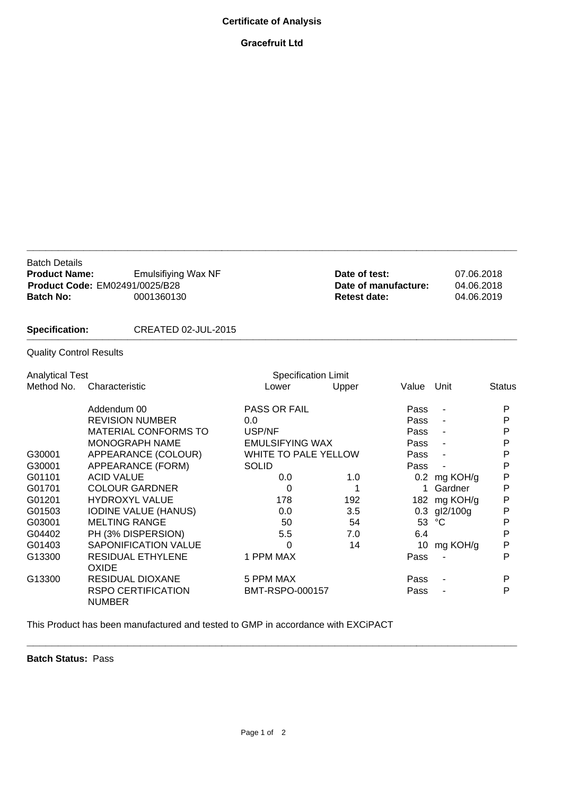## **Certificate of Analysis**

## **Gracefruit Ltd**

| <b>Batch Details</b><br><b>Product Name:</b><br><b>Batch No:</b> | <b>Emulsifiying Wax NF</b><br><b>Product Code: EM02491/0025/B28</b><br>0001360130 |                        |                             | Date of test:<br>Date of manufacture:<br><b>Retest date:</b> |                          | 07.06.2018<br>04.06.2018<br>04.06.2019 |  |
|------------------------------------------------------------------|-----------------------------------------------------------------------------------|------------------------|-----------------------------|--------------------------------------------------------------|--------------------------|----------------------------------------|--|
| <b>Specification:</b>                                            | CREATED 02-JUL-2015                                                               |                        |                             |                                                              |                          |                                        |  |
| <b>Quality Control Results</b>                                   |                                                                                   |                        |                             |                                                              |                          |                                        |  |
| <b>Analytical Test</b>                                           |                                                                                   |                        | <b>Specification Limit</b>  |                                                              |                          |                                        |  |
| Method No.                                                       | Characteristic                                                                    | Lower                  | Upper                       | Value                                                        | Unit                     | <b>Status</b>                          |  |
|                                                                  | Addendum 00                                                                       | <b>PASS OR FAIL</b>    |                             | Pass                                                         | $\blacksquare$           | P                                      |  |
|                                                                  | <b>REVISION NUMBER</b>                                                            | 0.0                    |                             | Pass                                                         |                          | P                                      |  |
|                                                                  | <b>MATERIAL CONFORMS TO</b>                                                       | USP/NF                 |                             | Pass                                                         |                          | P                                      |  |
|                                                                  | <b>MONOGRAPH NAME</b>                                                             | <b>EMULSIFYING WAX</b> |                             | Pass                                                         | $\overline{\phantom{a}}$ | P                                      |  |
| G30001                                                           | APPEARANCE (COLOUR)                                                               |                        | <b>WHITE TO PALE YELLOW</b> |                                                              |                          | P                                      |  |
| G30001                                                           | APPEARANCE (FORM)                                                                 | <b>SOLID</b>           |                             | Pass                                                         |                          | P                                      |  |
| G01101                                                           | <b>ACID VALUE</b>                                                                 | 0.0                    | 1.0                         |                                                              | 0.2 mg KOH/g             | P                                      |  |
| G01701                                                           | <b>COLOUR GARDNER</b>                                                             | 0                      | 1                           | 1                                                            | Gardner                  | P                                      |  |
| G01201                                                           | <b>HYDROXYL VALUE</b>                                                             | 178                    | 192                         | 182                                                          | mg KOH/g                 | P                                      |  |
| G01503                                                           | <b>IODINE VALUE (HANUS)</b>                                                       | 0.0                    | 3.5                         | 0.3                                                          | gl2/100g                 | P                                      |  |
| G03001                                                           | <b>MELTING RANGE</b>                                                              | 50                     | 54                          | 53                                                           | °C                       | P                                      |  |
| G04402                                                           | PH (3% DISPERSION)                                                                | 5.5                    | 7.0                         | 6.4                                                          |                          | P                                      |  |
| G01403                                                           | <b>SAPONIFICATION VALUE</b>                                                       | 0                      | 14                          | 10                                                           | mg KOH/g                 | $\mathsf{P}$                           |  |
| G13300                                                           | <b>RESIDUAL ETHYLENE</b><br><b>OXIDE</b>                                          | 1 PPM MAX              |                             | Pass                                                         |                          | P                                      |  |
| G13300                                                           | <b>RESIDUAL DIOXANE</b>                                                           | 5 PPM MAX              |                             | Pass                                                         |                          | P                                      |  |
|                                                                  | <b>RSPO CERTIFICATION</b><br><b>NUMBER</b>                                        | BMT-RSPO-000157        |                             | Pass                                                         |                          | P                                      |  |

This Product has been manufactured and tested to GMP in accordance with EXCiPACT

**Batch Status:** Pass

**\_\_\_\_\_\_\_\_\_\_\_\_\_\_\_\_\_\_\_\_\_\_\_\_\_\_\_\_\_\_\_\_\_\_\_\_\_\_\_\_\_\_\_\_\_\_\_\_\_\_\_\_\_\_\_\_\_\_\_\_\_\_\_\_\_\_\_\_\_\_\_\_\_\_\_\_\_\_**